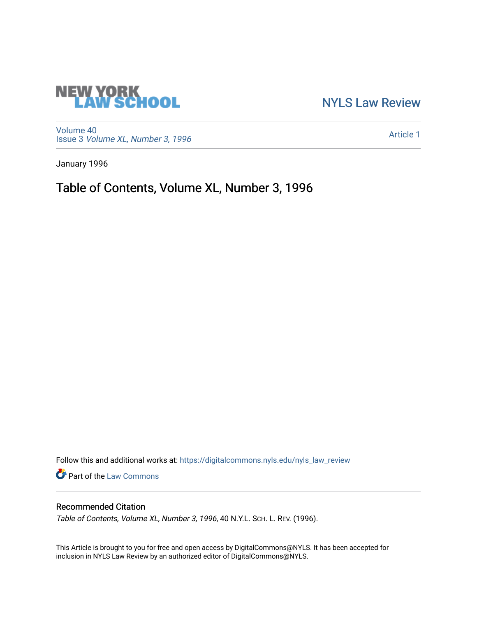# **NEW YORK<br>LAW SCHOOL**

[NYLS Law Review](https://digitalcommons.nyls.edu/nyls_law_review) 

[Volume 40](https://digitalcommons.nyls.edu/nyls_law_review/vol40) Issue 3 [Volume XL, Number 3, 1996](https://digitalcommons.nyls.edu/nyls_law_review/vol40/iss3)

[Article 1](https://digitalcommons.nyls.edu/nyls_law_review/vol40/iss3/1) 

January 1996

Table of Contents, Volume XL, Number 3, 1996

Follow this and additional works at: [https://digitalcommons.nyls.edu/nyls\\_law\\_review](https://digitalcommons.nyls.edu/nyls_law_review?utm_source=digitalcommons.nyls.edu%2Fnyls_law_review%2Fvol40%2Fiss3%2F1&utm_medium=PDF&utm_campaign=PDFCoverPages) 

Part of the [Law Commons](https://network.bepress.com/hgg/discipline/578?utm_source=digitalcommons.nyls.edu%2Fnyls_law_review%2Fvol40%2Fiss3%2F1&utm_medium=PDF&utm_campaign=PDFCoverPages)

## Recommended Citation

Table of Contents, Volume XL, Number 3, 1996, 40 N.Y.L. Sch. L. REV. (1996).

This Article is brought to you for free and open access by DigitalCommons@NYLS. It has been accepted for inclusion in NYLS Law Review by an authorized editor of DigitalCommons@NYLS.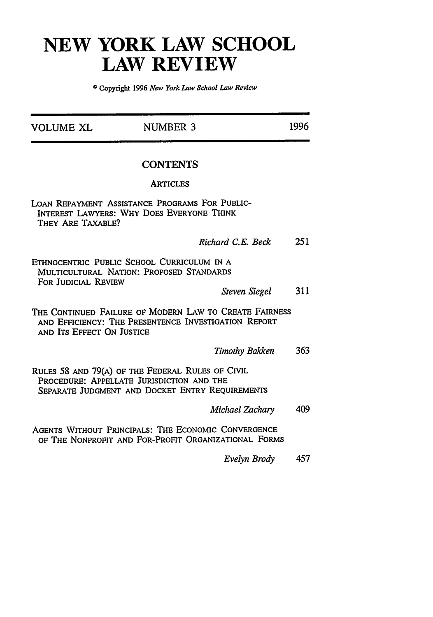## **NEW YORK LAW SCHOOL LAW REVIEW**

**0 Copyright 1996** *New York Law School Law Review*

| VOLUME XL                 | <b>NUMBER 3</b>                                                                                                                                  | 1996 |
|---------------------------|--------------------------------------------------------------------------------------------------------------------------------------------------|------|
|                           | <b>CONTENTS</b>                                                                                                                                  |      |
|                           | <b>ARTICLES</b>                                                                                                                                  |      |
| THEY ARE TAXABLE?         | LOAN REPAYMENT ASSISTANCE PROGRAMS FOR PUBLIC-<br>INTEREST LAWYERS: WHY DOES EVERYONE THINK                                                      |      |
|                           | Richard C.E. Beck                                                                                                                                | 251  |
| FOR JUDICIAL REVIEW       | ETHNOCENTRIC PUBLIC SCHOOL CURRICULUM IN A<br>MULTICULTURAL NATION: PROPOSED STANDARDS                                                           |      |
|                           | <b>Steven Siegel</b>                                                                                                                             | 311  |
| AND ITS EFFECT ON JUSTICE | THE CONTINUED FAILURE OF MODERN LAW TO CREATE FAIRNESS<br>AND EFFICIENCY: THE PRESENTENCE INVESTIGATION REPORT                                   |      |
|                           | <b>Timothy Bakken</b>                                                                                                                            | 363  |
|                           | RULES 58 AND 79(A) OF THE FEDERAL RULES OF CIVIL<br>PROCEDURE: APPELLATE JURISDICTION AND THE<br>SEPARATE JUDGMENT AND DOCKET ENTRY REQUIREMENTS |      |
|                           | Michael Zachary                                                                                                                                  | 409  |
|                           | AGENTS WITHOUT PRINCIPALS: THE ECONOMIC CONVERGENCE<br>OF THE NONPROFIT AND FOR-PROFIT ORGANIZATIONAL FORMS                                      |      |
|                           | Evelyn Brody                                                                                                                                     | 457  |
|                           |                                                                                                                                                  |      |
|                           |                                                                                                                                                  |      |